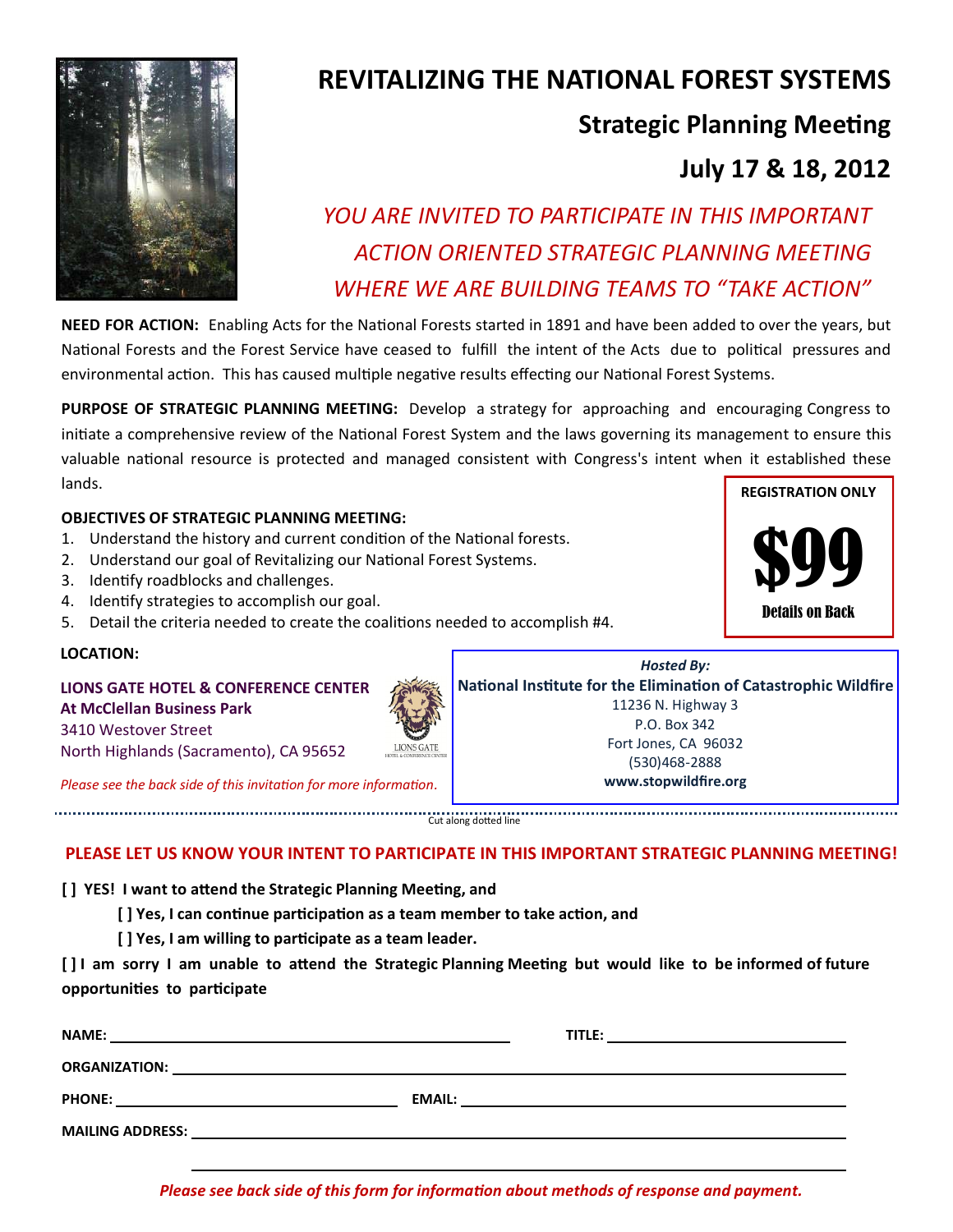

## **REVITALIZING THE NATIONAL FOREST SYSTEMS**

## **Strategic Planning Meeting**

## **July 17 & 18, 2012**

# *YOU ARE INVITED TO PARTICIPATE IN THIS IMPORTANT ACTION ORIENTED STRATEGIC PLANNING MEETING WHERE WE ARE BUILDING TEAMS TO "TAKE ACTION"*

**NEED FOR ACTION:** Enabling Acts for the National Forests started in 1891 and have been added to over the years, but National Forests and the Forest Service have ceased to fulfill the intent of the Acts due to political pressures and environmental action. This has caused multiple negative results effecting our National Forest Systems.

**PURPOSE OF STRATEGIC PLANNING MEETING:** Develop a strategy for approaching and encouraging Congress to initiate a comprehensive review of the National Forest System and the laws governing its management to ensure this valuable national resource is protected and managed consistent with Congress's intent when it established these lands. **REGISTRATION ONLY**

#### **OBJECTIVES OF STRATEGIC PLANNING MEETING:**

- 1. Understand the history and current condition of the National forests.
- 2. Understand our goal of Revitalizing our National Forest Systems.
- 3. Identify roadblocks and challenges.
- 4. Identify strategies to accomplish our goal.
- 5. Detail the criteria needed to create the coalitions needed to accomplish #4.

#### **LOCATION:**

### **LIONS GATE HOTEL & CONFERENCE CENTER At McClellan Business Park**

3410 Westover Street North Highlands (Sacramento), CA 95652

*Please see the back side of this invitation for more information.*

Cut along dotted line

#### **PLEASE LET US KNOW YOUR INTENT TO PARTICIPATE IN THIS IMPORTANT STRATEGIC PLANNING MEETING!**

**[ ] YES! I want to attend the Strategic Planning Meeting, and** 

**[ ] Yes, I can continue participation as a team member to take action, and** 

**[ ] Yes, I am willing to participate as a team leader.**

**[ ] I am sorry I am unable to attend the Strategic Planning Meeting but would like to be informed of future opportunities to participate**

| <b>NAME:</b><br><u> 1989 - Andrea Andrew Maria (h. 1989).</u> |                                                                                                                      | TITLE:                                                                                                              | <u> 1980 - Jan Samuel Barbara, martin a shekara 1980 - Sharka Tarajan a shekara 1980 - Sharka Tarajan a shekara 1</u> |
|---------------------------------------------------------------|----------------------------------------------------------------------------------------------------------------------|---------------------------------------------------------------------------------------------------------------------|-----------------------------------------------------------------------------------------------------------------------|
| <b>ORGANIZATION:</b>                                          | <u> 1980 - Jan Barnett, mars et al. (f. 1980).</u>                                                                   |                                                                                                                     |                                                                                                                       |
| <b>PHONE:</b>                                                 | EMAIL:                                                                                                               | <u> 1980 - Jan Samuel Barbara, margaret e populari e populari e populari e populari e populari e populari e pop</u> |                                                                                                                       |
| <b>MAILING ADDRESS:</b>                                       | <u> 1980 - Jan Stein Stein Stein Stein Stein Stein Stein Stein Stein Stein Stein Stein Stein Stein Stein Stein S</u> |                                                                                                                     |                                                                                                                       |
|                                                               |                                                                                                                      |                                                                                                                     |                                                                                                                       |

\$99 Details on Back

*Hosted By:* **National Institute for the Elimination of Catastrophic Wildfire** 11236 N. Highway 3 P.O. Box 342 Fort Jones, CA 96032 (530)468-2888 **www.stopwildfire.org**

*Please see back side of this form for information about methods of response and payment.*